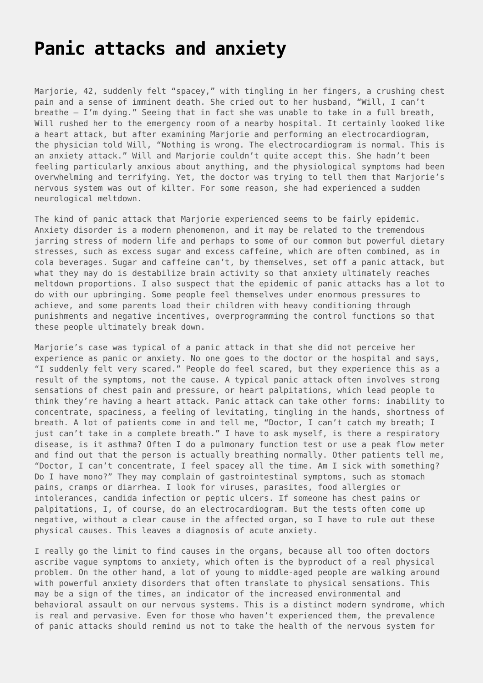## **[Panic attacks and anxiety](https://drhoffman.com/article/panic-attacks-and-anxiety-2/)**

Marjorie, 42, suddenly felt "spacey," with tingling in her fingers, a crushing chest pain and a sense of imminent death. She cried out to her husband, "Will, I can't breathe — I'm dying." Seeing that in fact she was unable to take in a full breath, Will rushed her to the emergency room of a nearby hospital. It certainly looked like a heart attack, but after examining Marjorie and performing an electrocardiogram, the physician told Will, "Nothing is wrong. The electrocardiogram is normal. This is an anxiety attack." Will and Marjorie couldn't quite accept this. She hadn't been feeling particularly anxious about anything, and the physiological symptoms had been overwhelming and terrifying. Yet, the doctor was trying to tell them that Marjorie's nervous system was out of kilter. For some reason, she had experienced a sudden neurological meltdown.

The kind of panic attack that Marjorie experienced seems to be fairly epidemic. Anxiety disorder is a modern phenomenon, and it may be related to the tremendous jarring stress of modern life and perhaps to some of our common but powerful dietary stresses, such as excess sugar and excess caffeine, which are often combined, as in cola beverages. Sugar and caffeine can't, by themselves, set off a panic attack, but what they may do is destabilize brain activity so that anxiety ultimately reaches meltdown proportions. I also suspect that the epidemic of panic attacks has a lot to do with our upbringing. Some people feel themselves under enormous pressures to achieve, and some parents load their children with heavy conditioning through punishments and negative incentives, overprogramming the control functions so that these people ultimately break down.

Marjorie's case was typical of a panic attack in that she did not perceive her experience as panic or anxiety. No one goes to the doctor or the hospital and says, "I suddenly felt very scared." People do feel scared, but they experience this as a result of the symptoms, not the cause. A typical panic attack often involves strong sensations of chest pain and pressure, or heart palpitations, which lead people to think they're having a heart attack. Panic attack can take other forms: inability to concentrate, spaciness, a feeling of levitating, tingling in the hands, shortness of breath. A lot of patients come in and tell me, "Doctor, I can't catch my breath; I just can't take in a complete breath." I have to ask myself, is there a respiratory disease, is it asthma? Often I do a pulmonary function test or use a peak flow meter and find out that the person is actually breathing normally. Other patients tell me, "Doctor, I can't concentrate, I feel spacey all the time. Am I sick with something? Do I have mono?" They may complain of gastrointestinal symptoms, such as stomach pains, cramps or diarrhea. I look for viruses, parasites, food allergies or intolerances, candida infection or peptic ulcers. If someone has chest pains or palpitations, I, of course, do an electrocardiogram. But the tests often come up negative, without a clear cause in the affected organ, so I have to rule out these physical causes. This leaves a diagnosis of acute anxiety.

I really go the limit to find causes in the organs, because all too often doctors ascribe vague symptoms to anxiety, which often is the byproduct of a real physical problem. On the other hand, a lot of young to middle-aged people are walking around with powerful anxiety disorders that often translate to physical sensations. This may be a sign of the times, an indicator of the increased environmental and behavioral assault on our nervous systems. This is a distinct modern syndrome, which is real and pervasive. Even for those who haven't experienced them, the prevalence of panic attacks should remind us not to take the health of the nervous system for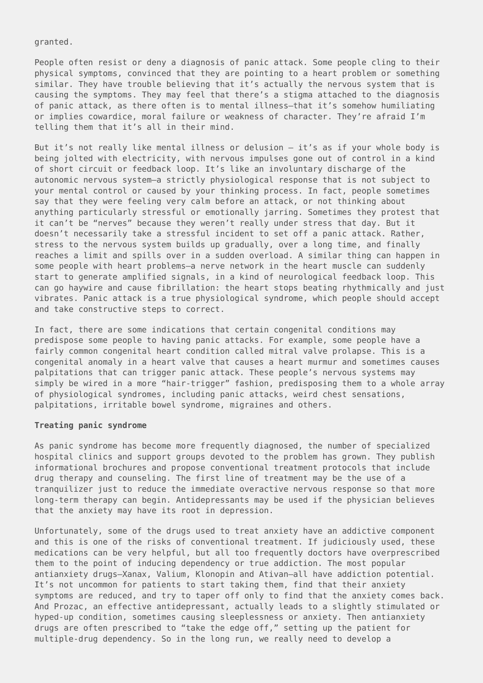granted.

People often resist or deny a diagnosis of panic attack. Some people cling to their physical symptoms, convinced that they are pointing to a heart problem or something similar. They have trouble believing that it's actually the nervous system that is causing the symptoms. They may feel that there's a stigma attached to the diagnosis of panic attack, as there often is to mental illness–that it's somehow humiliating or implies cowardice, moral failure or weakness of character. They're afraid I'm telling them that it's all in their mind.

But it's not really like mental illness or delusion — it's as if your whole body is being jolted with electricity, with nervous impulses gone out of control in a kind of short circuit or feedback loop. It's like an involuntary discharge of the autonomic nervous system–a strictly physiological response that is not subject to your mental control or caused by your thinking process. In fact, people sometimes say that they were feeling very calm before an attack, or not thinking about anything particularly stressful or emotionally jarring. Sometimes they protest that it can't be "nerves" because they weren't really under stress that day. But it doesn't necessarily take a stressful incident to set off a panic attack. Rather, stress to the nervous system builds up gradually, over a long time, and finally reaches a limit and spills over in a sudden overload. A similar thing can happen in some people with heart problems–a nerve network in the heart muscle can suddenly start to generate amplified signals, in a kind of neurological feedback loop. This can go haywire and cause fibrillation: the heart stops beating rhythmically and just vibrates. Panic attack is a true physiological syndrome, which people should accept and take constructive steps to correct.

In fact, there are some indications that certain congenital conditions may predispose some people to having panic attacks. For example, some people have a fairly common congenital heart condition called mitral valve prolapse. This is a congenital anomaly in a heart valve that causes a heart murmur and sometimes causes palpitations that can trigger panic attack. These people's nervous systems may simply be wired in a more "hair-trigger" fashion, predisposing them to a whole array of physiological syndromes, including panic attacks, weird chest sensations, palpitations, irritable bowel syndrome, migraines and others.

## **Treating panic syndrome**

As panic syndrome has become more frequently diagnosed, the number of specialized hospital clinics and support groups devoted to the problem has grown. They publish informational brochures and propose conventional treatment protocols that include drug therapy and counseling. The first line of treatment may be the use of a tranquilizer just to reduce the immediate overactive nervous response so that more long-term therapy can begin. Antidepressants may be used if the physician believes that the anxiety may have its root in depression.

Unfortunately, some of the drugs used to treat anxiety have an addictive component and this is one of the risks of conventional treatment. If judiciously used, these medications can be very helpful, but all too frequently doctors have overprescribed them to the point of inducing dependency or true addiction. The most popular antianxiety drugs–Xanax, Valium, Klonopin and Ativan–all have addiction potential. It's not uncommon for patients to start taking them, find that their anxiety symptoms are reduced, and try to taper off only to find that the anxiety comes back. And Prozac, an effective antidepressant, actually leads to a slightly stimulated or hyped-up condition, sometimes causing sleeplessness or anxiety. Then antianxiety drugs are often prescribed to "take the edge off," setting up the patient for multiple-drug dependency. So in the long run, we really need to develop a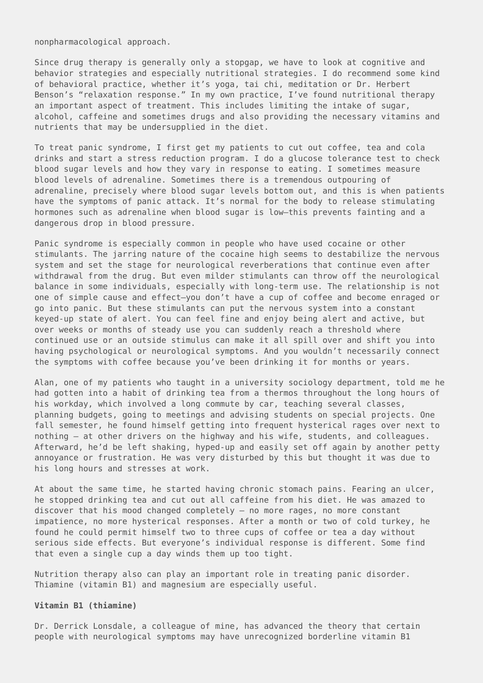nonpharmacological approach.

Since drug therapy is generally only a stopgap, we have to look at cognitive and behavior strategies and especially nutritional strategies. I do recommend some kind of behavioral practice, whether it's yoga, tai chi, meditation or Dr. Herbert Benson's "relaxation response." In my own practice, I've found nutritional therapy an important aspect of treatment. This includes limiting the intake of sugar, alcohol, caffeine and sometimes drugs and also providing the necessary vitamins and nutrients that may be undersupplied in the diet.

To treat panic syndrome, I first get my patients to cut out coffee, tea and cola drinks and start a stress reduction program. I do a glucose tolerance test to check blood sugar levels and how they vary in response to eating. I sometimes measure blood levels of adrenaline. Sometimes there is a tremendous outpouring of adrenaline, precisely where blood sugar levels bottom out, and this is when patients have the symptoms of panic attack. It's normal for the body to release stimulating hormones such as adrenaline when blood sugar is low–this prevents fainting and a dangerous drop in blood pressure.

Panic syndrome is especially common in people who have used cocaine or other stimulants. The jarring nature of the cocaine high seems to destabilize the nervous system and set the stage for neurological reverberations that continue even after withdrawal from the drug. But even milder stimulants can throw off the neurological balance in some individuals, especially with long-term use. The relationship is not one of simple cause and effect–you don't have a cup of coffee and become enraged or go into panic. But these stimulants can put the nervous system into a constant keyed-up state of alert. You can feel fine and enjoy being alert and active, but over weeks or months of steady use you can suddenly reach a threshold where continued use or an outside stimulus can make it all spill over and shift you into having psychological or neurological symptoms. And you wouldn't necessarily connect the symptoms with coffee because you've been drinking it for months or years.

Alan, one of my patients who taught in a university sociology department, told me he had gotten into a habit of drinking tea from a thermos throughout the long hours of his workday, which involved a long commute by car, teaching several classes, planning budgets, going to meetings and advising students on special projects. One fall semester, he found himself getting into frequent hysterical rages over next to nothing — at other drivers on the highway and his wife, students, and colleagues. Afterward, he'd be left shaking, hyped-up and easily set off again by another petty annoyance or frustration. He was very disturbed by this but thought it was due to his long hours and stresses at work.

At about the same time, he started having chronic stomach pains. Fearing an ulcer, he stopped drinking tea and cut out all caffeine from his diet. He was amazed to discover that his mood changed completely — no more rages, no more constant impatience, no more hysterical responses. After a month or two of cold turkey, he found he could permit himself two to three cups of coffee or tea a day without serious side effects. But everyone's individual response is different. Some find that even a single cup a day winds them up too tight.

Nutrition therapy also can play an important role in treating panic disorder. Thiamine (vitamin B1) and magnesium are especially useful.

## **Vitamin B1 (thiamine)**

Dr. Derrick Lonsdale, a colleague of mine, has advanced the theory that certain people with neurological symptoms may have unrecognized borderline vitamin B1